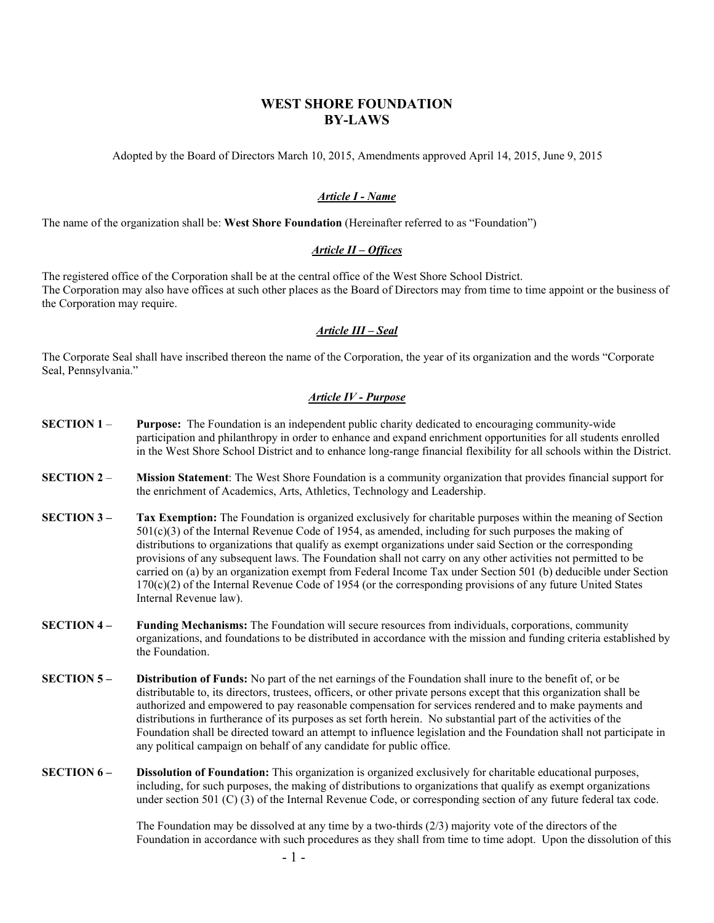# **WEST SHORE FOUNDATION BY-LAWS**

Adopted by the Board of Directors March 10, 2015, Amendments approved April 14, 2015, June 9, 2015

# *Article I - Name*

The name of the organization shall be: **West Shore Foundation** (Hereinafter referred to as "Foundation")

# *Article II – Offices*

The registered office of the Corporation shall be at the central office of the West Shore School District. The Corporation may also have offices at such other places as the Board of Directors may from time to time appoint or the business of the Corporation may require.

# *Article III – Seal*

The Corporate Seal shall have inscribed thereon the name of the Corporation, the year of its organization and the words "Corporate Seal, Pennsylvania."

# *Article IV - Purpose*

- **SECTION 1 Purpose:** The Foundation is an independent public charity dedicated to encouraging community-wide participation and philanthropy in order to enhance and expand enrichment opportunities for all students enrolled in the West Shore School District and to enhance long-range financial flexibility for all schools within the District.
- **SECTION 2 Mission Statement**: The West Shore Foundation is a community organization that provides financial support for the enrichment of Academics, Arts, Athletics, Technology and Leadership.
- **SECTION 3 Tax Exemption:** The Foundation is organized exclusively for charitable purposes within the meaning of Section 501(c)(3) of the Internal Revenue Code of 1954, as amended, including for such purposes the making of distributions to organizations that qualify as exempt organizations under said Section or the corresponding provisions of any subsequent laws. The Foundation shall not carry on any other activities not permitted to be carried on (a) by an organization exempt from Federal Income Tax under Section 501 (b) deducible under Section 170(c)(2) of the Internal Revenue Code of 1954 (or the corresponding provisions of any future United States Internal Revenue law).
- **SECTION 4 Funding Mechanisms:** The Foundation will secure resources from individuals, corporations, community organizations, and foundations to be distributed in accordance with the mission and funding criteria established by the Foundation.
- **SECTION 5 Distribution of Funds:** No part of the net earnings of the Foundation shall inure to the benefit of, or be distributable to, its directors, trustees, officers, or other private persons except that this organization shall be authorized and empowered to pay reasonable compensation for services rendered and to make payments and distributions in furtherance of its purposes as set forth herein. No substantial part of the activities of the Foundation shall be directed toward an attempt to influence legislation and the Foundation shall not participate in any political campaign on behalf of any candidate for public office.
- **SECTION 6 Dissolution of Foundation:** This organization is organized exclusively for charitable educational purposes, including, for such purposes, the making of distributions to organizations that qualify as exempt organizations under section 501 (C) (3) of the Internal Revenue Code, or corresponding section of any future federal tax code.

The Foundation may be dissolved at any time by a two-thirds (2/3) majority vote of the directors of the Foundation in accordance with such procedures as they shall from time to time adopt. Upon the dissolution of this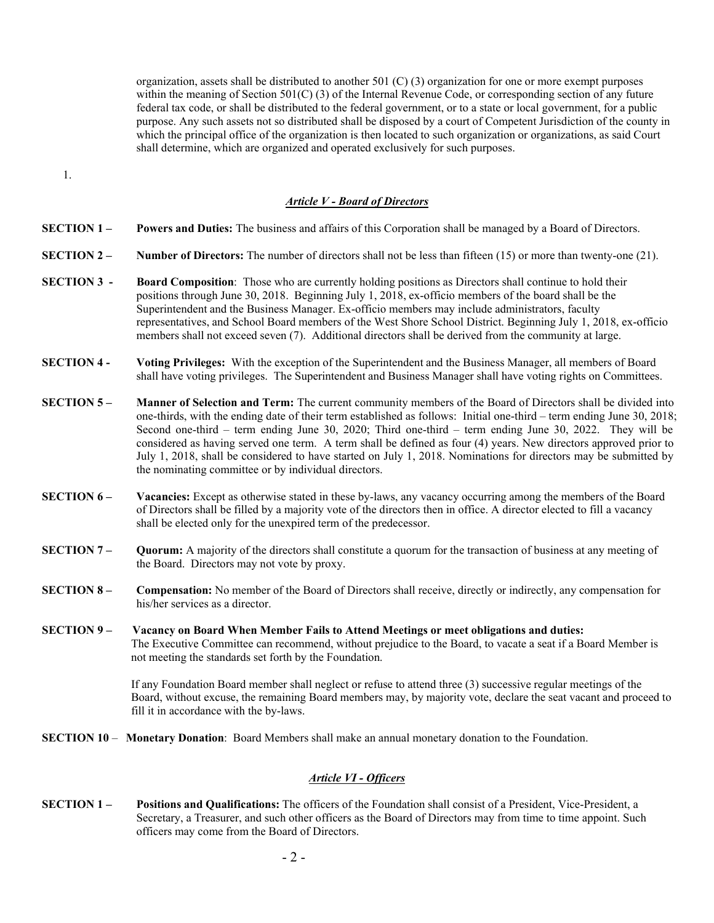organization, assets shall be distributed to another 501 (C) (3) organization for one or more exempt purposes within the meaning of Section 501(C) (3) of the Internal Revenue Code, or corresponding section of any future federal tax code, or shall be distributed to the federal government, or to a state or local government, for a public purpose. Any such assets not so distributed shall be disposed by a court of Competent Jurisdiction of the county in which the principal office of the organization is then located to such organization or organizations, as said Court shall determine, which are organized and operated exclusively for such purposes.

1.

#### *Article V - Board of Directors*

- **SECTION 1 Powers and Duties:** The business and affairs of this Corporation shall be managed by a Board of Directors.
- **SECTION 2 Number of Directors:** The number of directors shall not be less than fifteen (15) or more than twenty-one (21).
- **SECTION 3 Board Composition:** Those who are currently holding positions as Directors shall continue to hold their positions through June 30, 2018. Beginning July 1, 2018, ex-officio members of the board shall be the Superintendent and the Business Manager. Ex-officio members may include administrators, faculty representatives, and School Board members of the West Shore School District. Beginning July 1, 2018, ex-officio members shall not exceed seven (7). Additional directors shall be derived from the community at large.
- **SECTION 4 Voting Privileges:** With the exception of the Superintendent and the Business Manager, all members of Board shall have voting privileges. The Superintendent and Business Manager shall have voting rights on Committees.
- **SECTION 5 Manner of Selection and Term:** The current community members of the Board of Directors shall be divided into one-thirds, with the ending date of their term established as follows: Initial one-third – term ending June 30, 2018; Second one-third – term ending June 30, 2020; Third one-third – term ending June 30, 2022. They will be considered as having served one term. A term shall be defined as four (4) years. New directors approved prior to July 1, 2018, shall be considered to have started on July 1, 2018. Nominations for directors may be submitted by the nominating committee or by individual directors.
- **SECTION 6 Vacancies:** Except as otherwise stated in these by-laws, any vacancy occurring among the members of the Board of Directors shall be filled by a majority vote of the directors then in office. A director elected to fill a vacancy shall be elected only for the unexpired term of the predecessor.
- **SECTION 7 Quorum:** A majority of the directors shall constitute a quorum for the transaction of business at any meeting of the Board. Directors may not vote by proxy.
- **SECTION 8 Compensation:** No member of the Board of Directors shall receive, directly or indirectly, any compensation for his/her services as a director.
- **SECTION 9 Vacancy on Board When Member Fails to Attend Meetings or meet obligations and duties:** The Executive Committee can recommend, without prejudice to the Board, to vacate a seat if a Board Member is not meeting the standards set forth by the Foundation.

If any Foundation Board member shall neglect or refuse to attend three (3) successive regular meetings of the Board, without excuse, the remaining Board members may, by majority vote, declare the seat vacant and proceed to fill it in accordance with the by-laws.

**SECTION 10** – **Monetary Donation**: Board Members shall make an annual monetary donation to the Foundation.

#### *Article VI - Officers*

**SECTION 1** – **Positions and Qualifications:** The officers of the Foundation shall consist of a President, Vice-President, a Secretary, a Treasurer, and such other officers as the Board of Directors may from time to time appoint. Such officers may come from the Board of Directors.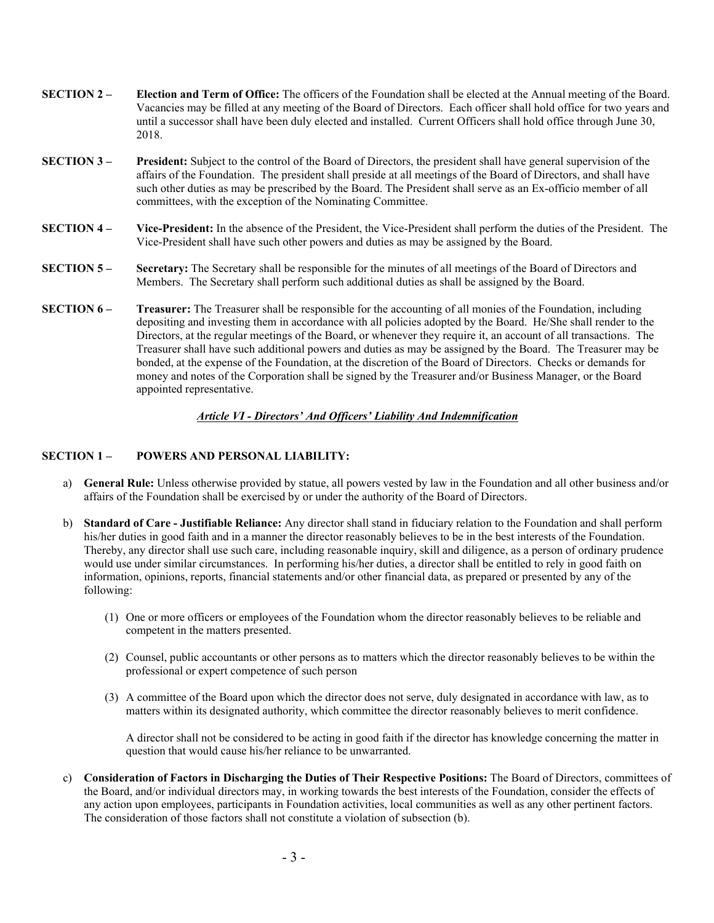| <b>SECTION 2 –</b> | Election and Term of Office: The officers of the Foundation shall be elected at the Annual meeting of the Board.   |
|--------------------|--------------------------------------------------------------------------------------------------------------------|
|                    | Vacancies may be filled at any meeting of the Board of Directors. Each officer shall hold office for two years and |
|                    | until a successor shall have been duly elected and installed. Current Officers shall hold office through June 30,  |
|                    | 2018.                                                                                                              |

- **SECTION 3 President:** Subject to the control of the Board of Directors, the president shall have general supervision of the affairs of the Foundation. The president shall preside at all meetings of the Board of Directors, and shall have such other duties as may be prescribed by the Board. The President shall serve as an Ex-officio member of all committees, with the exception of the Nominating Committee.
- **SECTION 4 Vice-President:** In the absence of the President, the Vice-President shall perform the duties of the President. The Vice-President shall have such other powers and duties as may be assigned by the Board.
- **SECTION 5 Secretary:** The Secretary shall be responsible for the minutes of all meetings of the Board of Directors and Members. The Secretary shall perform such additional duties as shall be assigned by the Board.
- **SECTION 6 Treasurer:** The Treasurer shall be responsible for the accounting of all monies of the Foundation, including depositing and investing them in accordance with all policies adopted by the Board. He/She shall render to the Directors, at the regular meetings of the Board, or whenever they require it, an account of all transactions. The Treasurer shall have such additional powers and duties as may be assigned by the Board. The Treasurer may be bonded, at the expense of the Foundation, at the discretion of the Board of Directors. Checks or demands for money and notes of the Corporation shall be signed by the Treasurer and/or Business Manager, or the Board appointed representative.

# *Article VI - Directors' And Officers' Liability And Indemnification*

### **SECTION 1 – POWERS AND PERSONAL LIABILITY:**

- a) **General Rule:** Unless otherwise provided by statue, all powers vested by law in the Foundation and all other business and/or affairs of the Foundation shall be exercised by or under the authority of the Board of Directors.
- b) **Standard of Care Justifiable Reliance:** Any director shall stand in fiduciary relation to the Foundation and shall perform his/her duties in good faith and in a manner the director reasonably believes to be in the best interests of the Foundation. Thereby, any director shall use such care, including reasonable inquiry, skill and diligence, as a person of ordinary prudence would use under similar circumstances. In performing his/her duties, a director shall be entitled to rely in good faith on information, opinions, reports, financial statements and/or other financial data, as prepared or presented by any of the following:
	- (1) One or more officers or employees of the Foundation whom the director reasonably believes to be reliable and competent in the matters presented.
	- (2) Counsel, public accountants or other persons as to matters which the director reasonably believes to be within the professional or expert competence of such person
	- (3) A committee of the Board upon which the director does not serve, duly designated in accordance with law, as to matters within its designated authority, which committee the director reasonably believes to merit confidence.

A director shall not be considered to be acting in good faith if the director has knowledge concerning the matter in question that would cause his/her reliance to be unwarranted.

c) **Consideration of Factors in Discharging the Duties of Their Respective Positions:** The Board of Directors, committees of the Board, and/or individual directors may, in working towards the best interests of the Foundation, consider the effects of any action upon employees, participants in Foundation activities, local communities as well as any other pertinent factors. The consideration of those factors shall not constitute a violation of subsection (b).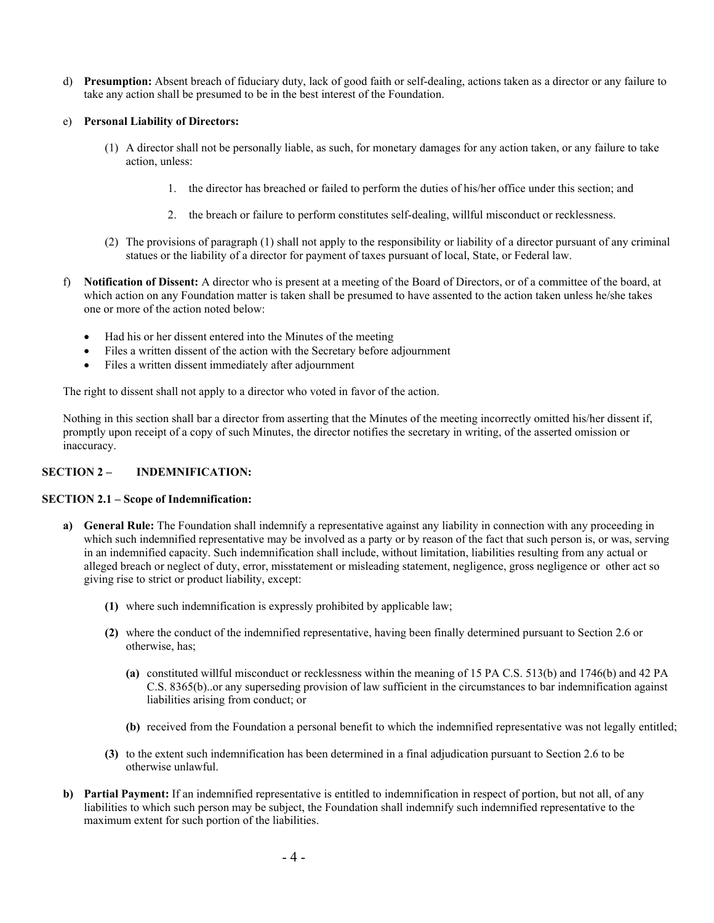d) **Presumption:** Absent breach of fiduciary duty, lack of good faith or self-dealing, actions taken as a director or any failure to take any action shall be presumed to be in the best interest of the Foundation.

### e) **Personal Liability of Directors:**

- (1) A director shall not be personally liable, as such, for monetary damages for any action taken, or any failure to take action, unless:
	- 1. the director has breached or failed to perform the duties of his/her office under this section; and
	- 2. the breach or failure to perform constitutes self-dealing, willful misconduct or recklessness.
- (2) The provisions of paragraph (1) shall not apply to the responsibility or liability of a director pursuant of any criminal statues or the liability of a director for payment of taxes pursuant of local, State, or Federal law.
- f) **Notification of Dissent:** A director who is present at a meeting of the Board of Directors, or of a committee of the board, at which action on any Foundation matter is taken shall be presumed to have assented to the action taken unless he/she takes one or more of the action noted below:
	- Had his or her dissent entered into the Minutes of the meeting
	- Files a written dissent of the action with the Secretary before adjournment
	- Files a written dissent immediately after adjournment

The right to dissent shall not apply to a director who voted in favor of the action.

Nothing in this section shall bar a director from asserting that the Minutes of the meeting incorrectly omitted his/her dissent if, promptly upon receipt of a copy of such Minutes, the director notifies the secretary in writing, of the asserted omission or inaccuracy.

#### **SECTION 2 – INDEMNIFICATION:**

#### **SECTION 2.1 – Scope of Indemnification:**

- **a)** General Rule: The Foundation shall indemnify a representative against any liability in connection with any proceeding in which such indemnified representative may be involved as a party or by reason of the fact that such person is, or was, serving in an indemnified capacity. Such indemnification shall include, without limitation, liabilities resulting from any actual or alleged breach or neglect of duty, error, misstatement or misleading statement, negligence, gross negligence or other act so giving rise to strict or product liability, except:
	- **(1)** where such indemnification is expressly prohibited by applicable law;
	- **(2)** where the conduct of the indemnified representative, having been finally determined pursuant to Section 2.6 or otherwise, has;
		- **(a)** constituted willful misconduct or recklessness within the meaning of 15 PA C.S. 513(b) and 1746(b) and 42 PA C.S. 8365(b)..or any superseding provision of law sufficient in the circumstances to bar indemnification against liabilities arising from conduct; or
		- **(b)** received from the Foundation a personal benefit to which the indemnified representative was not legally entitled;
	- **(3)** to the extent such indemnification has been determined in a final adjudication pursuant to Section 2.6 to be otherwise unlawful.
- **b) Partial Payment:** If an indemnified representative is entitled to indemnification in respect of portion, but not all, of any liabilities to which such person may be subject, the Foundation shall indemnify such indemnified representative to the maximum extent for such portion of the liabilities.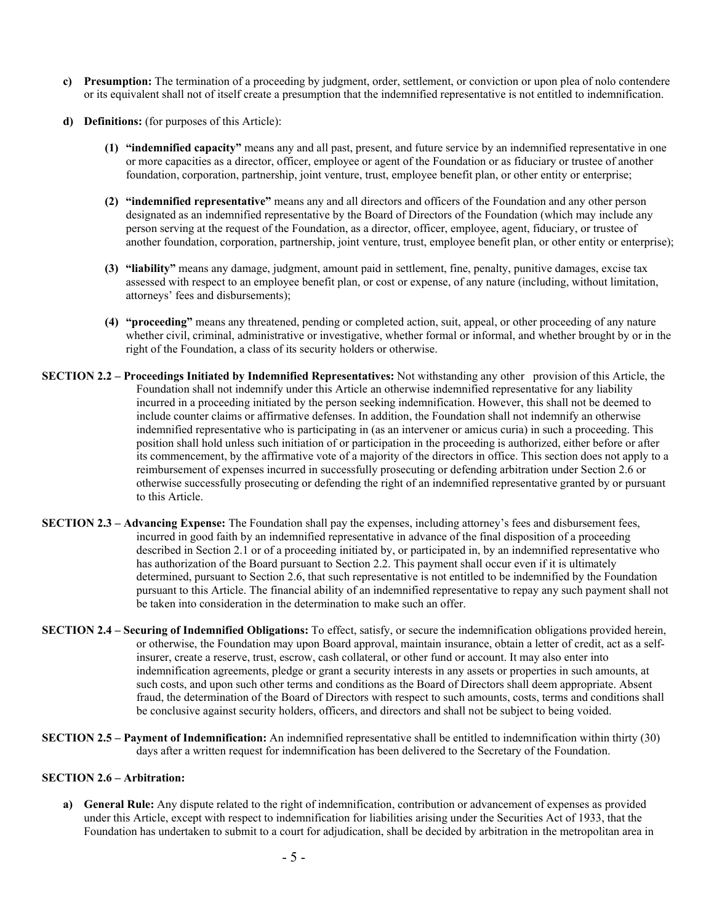- **c) Presumption:** The termination of a proceeding by judgment, order, settlement, or conviction or upon plea of nolo contendere or its equivalent shall not of itself create a presumption that the indemnified representative is not entitled to indemnification.
- **d) Definitions:** (for purposes of this Article):
	- **(1) "indemnified capacity"** means any and all past, present, and future service by an indemnified representative in one or more capacities as a director, officer, employee or agent of the Foundation or as fiduciary or trustee of another foundation, corporation, partnership, joint venture, trust, employee benefit plan, or other entity or enterprise;
	- **(2) "indemnified representative"** means any and all directors and officers of the Foundation and any other person designated as an indemnified representative by the Board of Directors of the Foundation (which may include any person serving at the request of the Foundation, as a director, officer, employee, agent, fiduciary, or trustee of another foundation, corporation, partnership, joint venture, trust, employee benefit plan, or other entity or enterprise);
	- **(3) "liability"** means any damage, judgment, amount paid in settlement, fine, penalty, punitive damages, excise tax assessed with respect to an employee benefit plan, or cost or expense, of any nature (including, without limitation, attorneys' fees and disbursements);
	- **(4) "proceeding"** means any threatened, pending or completed action, suit, appeal, or other proceeding of any nature whether civil, criminal, administrative or investigative, whether formal or informal, and whether brought by or in the right of the Foundation, a class of its security holders or otherwise.
- **SECTION 2.2 Proceedings Initiated by Indemnified Representatives:** Not withstanding any other provision of this Article, the Foundation shall not indemnify under this Article an otherwise indemnified representative for any liability incurred in a proceeding initiated by the person seeking indemnification. However, this shall not be deemed to include counter claims or affirmative defenses. In addition, the Foundation shall not indemnify an otherwise indemnified representative who is participating in (as an intervener or amicus curia) in such a proceeding. This position shall hold unless such initiation of or participation in the proceeding is authorized, either before or after its commencement, by the affirmative vote of a majority of the directors in office. This section does not apply to a reimbursement of expenses incurred in successfully prosecuting or defending arbitration under Section 2.6 or otherwise successfully prosecuting or defending the right of an indemnified representative granted by or pursuant to this Article.
- **SECTION 2.3 Advancing Expense:** The Foundation shall pay the expenses, including attorney's fees and disbursement fees, incurred in good faith by an indemnified representative in advance of the final disposition of a proceeding described in Section 2.1 or of a proceeding initiated by, or participated in, by an indemnified representative who has authorization of the Board pursuant to Section 2.2. This payment shall occur even if it is ultimately determined, pursuant to Section 2.6, that such representative is not entitled to be indemnified by the Foundation pursuant to this Article. The financial ability of an indemnified representative to repay any such payment shall not be taken into consideration in the determination to make such an offer.
- **SECTION 2.4 Securing of Indemnified Obligations:** To effect, satisfy, or secure the indemnification obligations provided herein, or otherwise, the Foundation may upon Board approval, maintain insurance, obtain a letter of credit, act as a selfinsurer, create a reserve, trust, escrow, cash collateral, or other fund or account. It may also enter into indemnification agreements, pledge or grant a security interests in any assets or properties in such amounts, at such costs, and upon such other terms and conditions as the Board of Directors shall deem appropriate. Absent fraud, the determination of the Board of Directors with respect to such amounts, costs, terms and conditions shall be conclusive against security holders, officers, and directors and shall not be subject to being voided.
- **SECTION 2.5 Payment of Indemnification:** An indemnified representative shall be entitled to indemnification within thirty (30) days after a written request for indemnification has been delivered to the Secretary of the Foundation.

### **SECTION 2.6 – Arbitration:**

**a) General Rule:** Any dispute related to the right of indemnification, contribution or advancement of expenses as provided under this Article, except with respect to indemnification for liabilities arising under the Securities Act of 1933, that the Foundation has undertaken to submit to a court for adjudication, shall be decided by arbitration in the metropolitan area in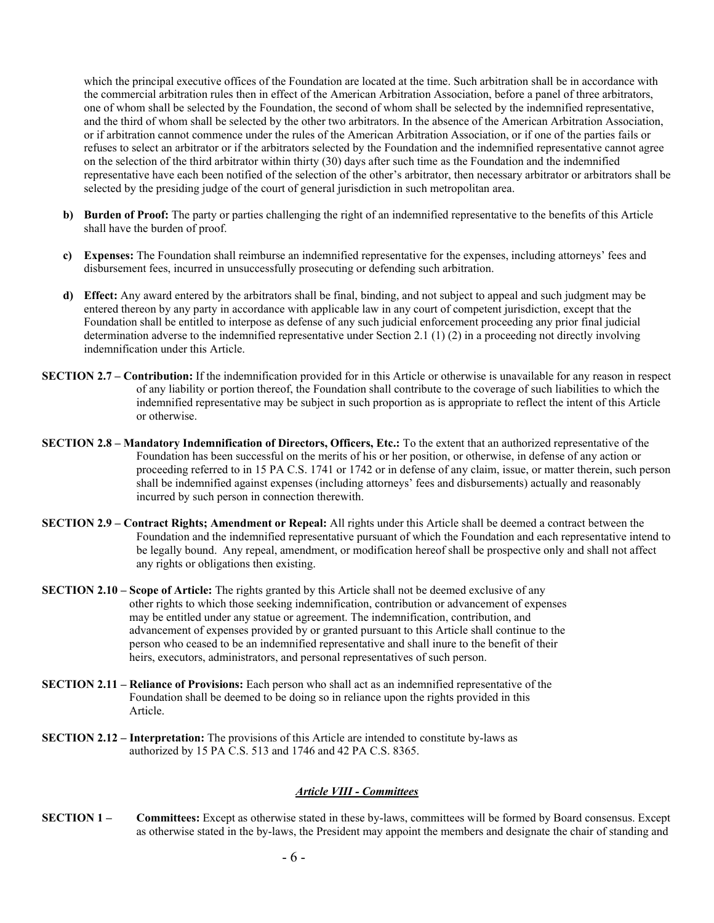which the principal executive offices of the Foundation are located at the time. Such arbitration shall be in accordance with the commercial arbitration rules then in effect of the American Arbitration Association, before a panel of three arbitrators, one of whom shall be selected by the Foundation, the second of whom shall be selected by the indemnified representative, and the third of whom shall be selected by the other two arbitrators. In the absence of the American Arbitration Association, or if arbitration cannot commence under the rules of the American Arbitration Association, or if one of the parties fails or refuses to select an arbitrator or if the arbitrators selected by the Foundation and the indemnified representative cannot agree on the selection of the third arbitrator within thirty (30) days after such time as the Foundation and the indemnified representative have each been notified of the selection of the other's arbitrator, then necessary arbitrator or arbitrators shall be selected by the presiding judge of the court of general jurisdiction in such metropolitan area.

- **b) Burden of Proof:** The party or parties challenging the right of an indemnified representative to the benefits of this Article shall have the burden of proof.
- **c) Expenses:** The Foundation shall reimburse an indemnified representative for the expenses, including attorneys' fees and disbursement fees, incurred in unsuccessfully prosecuting or defending such arbitration.
- **d) Effect:** Any award entered by the arbitrators shall be final, binding, and not subject to appeal and such judgment may be entered thereon by any party in accordance with applicable law in any court of competent jurisdiction, except that the Foundation shall be entitled to interpose as defense of any such judicial enforcement proceeding any prior final judicial determination adverse to the indemnified representative under Section 2.1 (1) (2) in a proceeding not directly involving indemnification under this Article.
- **SECTION 2.7 Contribution:** If the indemnification provided for in this Article or otherwise is unavailable for any reason in respect of any liability or portion thereof, the Foundation shall contribute to the coverage of such liabilities to which the indemnified representative may be subject in such proportion as is appropriate to reflect the intent of this Article or otherwise.
- **SECTION 2.8 Mandatory Indemnification of Directors, Officers, Etc.:** To the extent that an authorized representative of the Foundation has been successful on the merits of his or her position, or otherwise, in defense of any action or proceeding referred to in 15 PA C.S. 1741 or 1742 or in defense of any claim, issue, or matter therein, such person shall be indemnified against expenses (including attorneys' fees and disbursements) actually and reasonably incurred by such person in connection therewith.
- **SECTION 2.9 Contract Rights; Amendment or Repeal:** All rights under this Article shall be deemed a contract between the Foundation and the indemnified representative pursuant of which the Foundation and each representative intend to be legally bound. Any repeal, amendment, or modification hereof shall be prospective only and shall not affect any rights or obligations then existing.
- **SECTION 2.10 Scope of Article:** The rights granted by this Article shall not be deemed exclusive of any other rights to which those seeking indemnification, contribution or advancement of expenses may be entitled under any statue or agreement. The indemnification, contribution, and advancement of expenses provided by or granted pursuant to this Article shall continue to the person who ceased to be an indemnified representative and shall inure to the benefit of their heirs, executors, administrators, and personal representatives of such person.
- **SECTION 2.11 Reliance of Provisions:** Each person who shall act as an indemnified representative of the Foundation shall be deemed to be doing so in reliance upon the rights provided in this Article.
- **SECTION 2.12 Interpretation:** The provisions of this Article are intended to constitute by-laws as authorized by 15 PA C.S. 513 and 1746 and 42 PA C.S. 8365.

# *Article VIII - Committees*

**SECTION 1** – Committees: Except as otherwise stated in these by-laws, committees will be formed by Board consensus. Except as otherwise stated in the by-laws, the President may appoint the members and designate the chair of standing and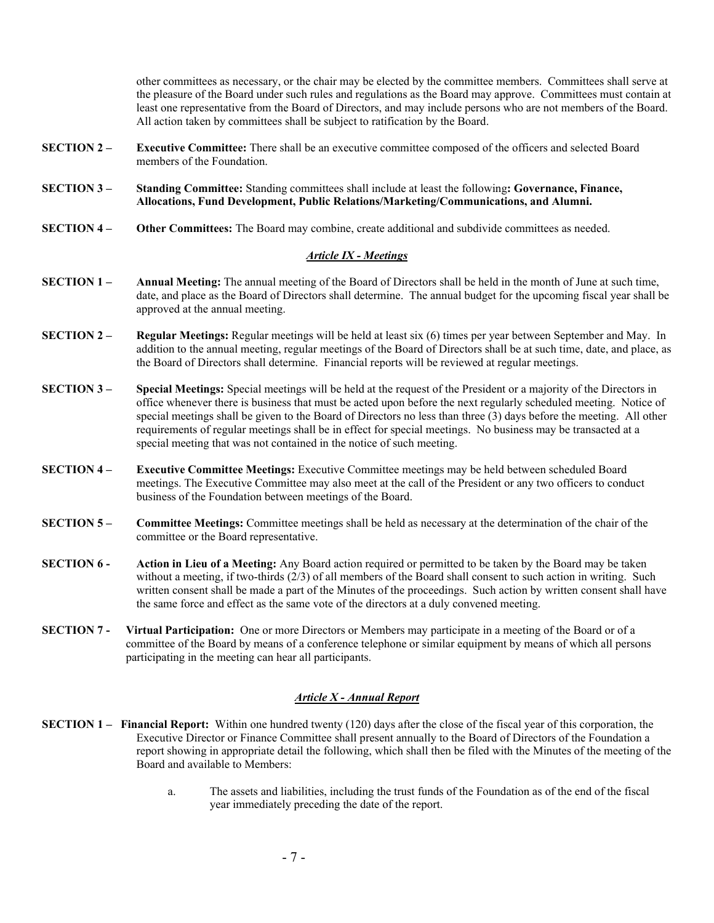other committees as necessary, or the chair may be elected by the committee members. Committees shall serve at the pleasure of the Board under such rules and regulations as the Board may approve. Committees must contain at least one representative from the Board of Directors, and may include persons who are not members of the Board. All action taken by committees shall be subject to ratification by the Board.

- **SECTION 2 Executive Committee:** There shall be an executive committee composed of the officers and selected Board members of the Foundation.
- **SECTION 3 Standing Committee:** Standing committees shall include at least the following**: Governance, Finance, Allocations, Fund Development, Public Relations/Marketing/Communications, and Alumni.**
- **SECTION 4 Other Committees:** The Board may combine, create additional and subdivide committees as needed.

### *Article IX - Meetings*

- **SECTION 1 Annual Meeting:** The annual meeting of the Board of Directors shall be held in the month of June at such time, date, and place as the Board of Directors shall determine. The annual budget for the upcoming fiscal year shall be approved at the annual meeting.
- **SECTION 2 Regular Meetings:** Regular meetings will be held at least six (6) times per year between September and May. In addition to the annual meeting, regular meetings of the Board of Directors shall be at such time, date, and place, as the Board of Directors shall determine. Financial reports will be reviewed at regular meetings.
- **SECTION 3 Special Meetings:** Special meetings will be held at the request of the President or a majority of the Directors in office whenever there is business that must be acted upon before the next regularly scheduled meeting. Notice of special meetings shall be given to the Board of Directors no less than three (3) days before the meeting. All other requirements of regular meetings shall be in effect for special meetings. No business may be transacted at a special meeting that was not contained in the notice of such meeting.
- **SECTION 4 Executive Committee Meetings:** Executive Committee meetings may be held between scheduled Board meetings. The Executive Committee may also meet at the call of the President or any two officers to conduct business of the Foundation between meetings of the Board.
- **SECTION 5 Committee Meetings:** Committee meetings shall be held as necessary at the determination of the chair of the committee or the Board representative.
- **SECTION 6 Action in Lieu of a Meeting:** Any Board action required or permitted to be taken by the Board may be taken without a meeting, if two-thirds (2/3) of all members of the Board shall consent to such action in writing. Such written consent shall be made a part of the Minutes of the proceedings. Such action by written consent shall have the same force and effect as the same vote of the directors at a duly convened meeting.
- **SECTION 7 Virtual Participation:** One or more Directors or Members may participate in a meeting of the Board or of a committee of the Board by means of a conference telephone or similar equipment by means of which all persons participating in the meeting can hear all participants.

# *Article X - Annual Report*

- **SECTION 1 Financial Report:** Within one hundred twenty (120) days after the close of the fiscal year of this corporation, the Executive Director or Finance Committee shall present annually to the Board of Directors of the Foundation a report showing in appropriate detail the following, which shall then be filed with the Minutes of the meeting of the Board and available to Members:
	- a. The assets and liabilities, including the trust funds of the Foundation as of the end of the fiscal year immediately preceding the date of the report.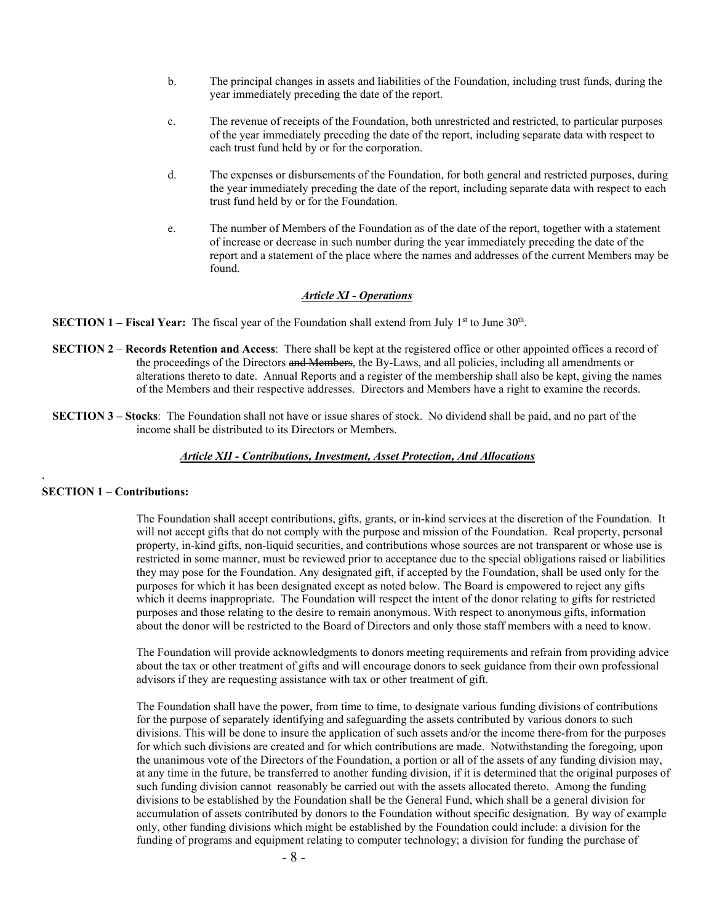- b. The principal changes in assets and liabilities of the Foundation, including trust funds, during the year immediately preceding the date of the report.
- c. The revenue of receipts of the Foundation, both unrestricted and restricted, to particular purposes of the year immediately preceding the date of the report, including separate data with respect to each trust fund held by or for the corporation.
- d. The expenses or disbursements of the Foundation, for both general and restricted purposes, during the year immediately preceding the date of the report, including separate data with respect to each trust fund held by or for the Foundation.
- e. The number of Members of the Foundation as of the date of the report, together with a statement of increase or decrease in such number during the year immediately preceding the date of the report and a statement of the place where the names and addresses of the current Members may be found.

# *Article XI - Operations*

**SECTION 1 – Fiscal Year:** The fiscal year of the Foundation shall extend from July 1<sup>st</sup> to June 30<sup>th</sup>.

- **SECTION 2 Records Retention and Access**: There shall be kept at the registered office or other appointed offices a record of the proceedings of the Directors and Members, the By-Laws, and all policies, including all amendments or alterations thereto to date. Annual Reports and a register of the membership shall also be kept, giving the names of the Members and their respective addresses. Directors and Members have a right to examine the records.
- **SECTION 3 Stocks**: The Foundation shall not have or issue shares of stock. No dividend shall be paid, and no part of the income shall be distributed to its Directors or Members.

### *Article XII - Contributions, Investment, Asset Protection, And Allocations*

#### **SECTION 1** – **Contributions:**

.

The Foundation shall accept contributions, gifts, grants, or in-kind services at the discretion of the Foundation. It will not accept gifts that do not comply with the purpose and mission of the Foundation. Real property, personal property, in-kind gifts, non-liquid securities, and contributions whose sources are not transparent or whose use is restricted in some manner, must be reviewed prior to acceptance due to the special obligations raised or liabilities they may pose for the Foundation. Any designated gift, if accepted by the Foundation, shall be used only for the purposes for which it has been designated except as noted below. The Board is empowered to reject any gifts which it deems inappropriate. The Foundation will respect the intent of the donor relating to gifts for restricted purposes and those relating to the desire to remain anonymous. With respect to anonymous gifts, information about the donor will be restricted to the Board of Directors and only those staff members with a need to know.

The Foundation will provide acknowledgments to donors meeting requirements and refrain from providing advice about the tax or other treatment of gifts and will encourage donors to seek guidance from their own professional advisors if they are requesting assistance with tax or other treatment of gift.

The Foundation shall have the power, from time to time, to designate various funding divisions of contributions for the purpose of separately identifying and safeguarding the assets contributed by various donors to such divisions. This will be done to insure the application of such assets and/or the income there-from for the purposes for which such divisions are created and for which contributions are made. Notwithstanding the foregoing, upon the unanimous vote of the Directors of the Foundation, a portion or all of the assets of any funding division may, at any time in the future, be transferred to another funding division, if it is determined that the original purposes of such funding division cannot reasonably be carried out with the assets allocated thereto. Among the funding divisions to be established by the Foundation shall be the General Fund, which shall be a general division for accumulation of assets contributed by donors to the Foundation without specific designation. By way of example only, other funding divisions which might be established by the Foundation could include: a division for the funding of programs and equipment relating to computer technology; a division for funding the purchase of